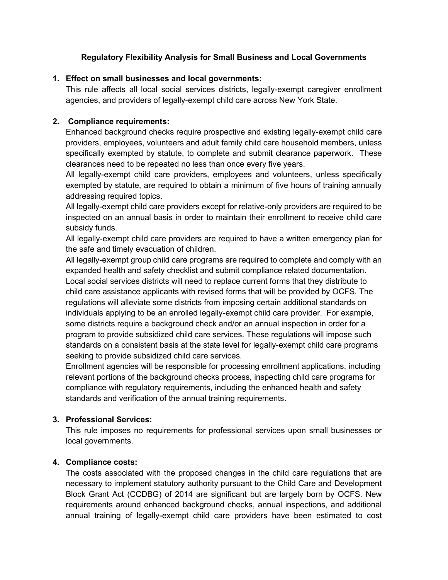## **Regulatory Flexibility Analysis for Small Business and Local Governments**

### **1. Effect on small businesses and local governments:**

This rule affects all local social services districts, legally-exempt caregiver enrollment agencies, and providers of legally-exempt child care across New York State.

## **2. Compliance requirements:**

Enhanced background checks require prospective and existing legally-exempt child care providers, employees, volunteers and adult family child care household members, unless specifically exempted by statute, to complete and submit clearance paperwork. These clearances need to be repeated no less than once every five years.

All legally-exempt child care providers, employees and volunteers, unless specifically exempted by statute, are required to obtain a minimum of five hours of training annually addressing required topics.

All legally-exempt child care providers except for relative-only providers are required to be inspected on an annual basis in order to maintain their enrollment to receive child care subsidy funds.

All legally-exempt child care providers are required to have a written emergency plan for the safe and timely evacuation of children.

All legally-exempt group child care programs are required to complete and comply with an expanded health and safety checklist and submit compliance related documentation. Local social services districts will need to replace current forms that they distribute to child care assistance applicants with revised forms that will be provided by OCFS. The regulations will alleviate some districts from imposing certain additional standards on individuals applying to be an enrolled legally-exempt child care provider. For example, some districts require a background check and/or an annual inspection in order for a program to provide subsidized child care services. These regulations will impose such standards on a consistent basis at the state level for legally-exempt child care programs seeking to provide subsidized child care services.

Enrollment agencies will be responsible for processing enrollment applications, including relevant portions of the background checks process, inspecting child care programs for compliance with regulatory requirements, including the enhanced health and safety standards and verification of the annual training requirements.

# **3. Professional Services:**

This rule imposes no requirements for professional services upon small businesses or local governments.

### **4. Compliance costs:**

The costs associated with the proposed changes in the child care regulations that are necessary to implement statutory authority pursuant to the Child Care and Development Block Grant Act (CCDBG) of 2014 are significant but are largely born by OCFS. New requirements around enhanced background checks, annual inspections, and additional annual training of legally-exempt child care providers have been estimated to cost